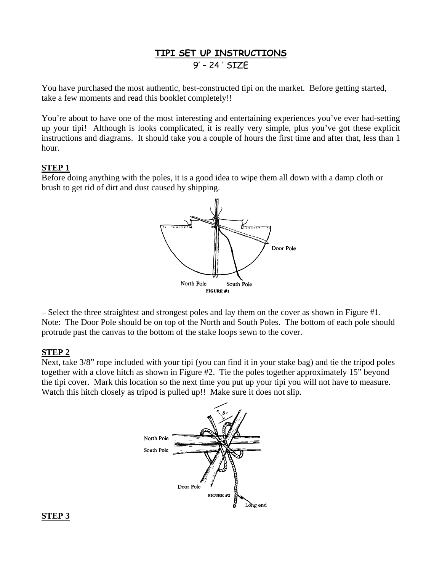# **TIPI SET UP INSTRUCTIONS** 9' – 24 ' SIZE

You have purchased the most authentic, best-constructed tipi on the market. Before getting started, take a few moments and read this booklet completely!!

You're about to have one of the most interesting and entertaining experiences you've ever had-setting up your tipi! Although is looks complicated, it is really very simple, plus you've got these explicit instructions and diagrams. It should take you a couple of hours the first time and after that, less than 1 hour.

### **STEP 1**

Before doing anything with the poles, it is a good idea to wipe them all down with a damp cloth or brush to get rid of dirt and dust caused by shipping.



– Select the three straightest and strongest poles and lay them on the cover as shown in Figure #1. Note: The Door Pole should be on top of the North and South Poles. The bottom of each pole should protrude past the canvas to the bottom of the stake loops sewn to the cover.

#### **STEP 2**

Next, take 3/8" rope included with your tipi (you can find it in your stake bag) and tie the tripod poles together with a clove hitch as shown in Figure #2. Tie the poles together approximately 15" beyond the tipi cover. Mark this location so the next time you put up your tipi you will not have to measure. Watch this hitch closely as tripod is pulled up!! Make sure it does not slip.



## **STEP 3**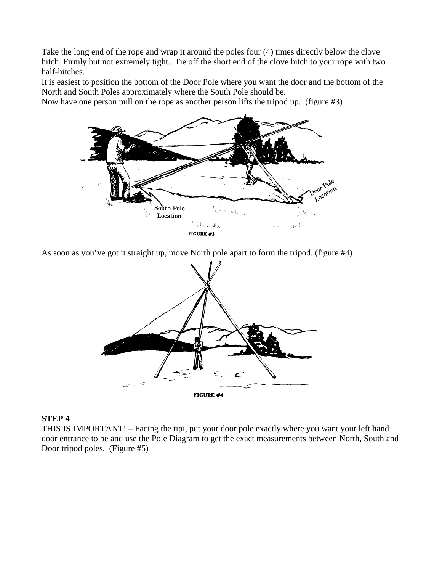Take the long end of the rope and wrap it around the poles four (4) times directly below the clove hitch. Firmly but not extremely tight. Tie off the short end of the clove hitch to your rope with two half-hitches.

It is easiest to position the bottom of the Door Pole where you want the door and the bottom of the North and South Poles approximately where the South Pole should be.

Now have one person pull on the rope as another person lifts the tripod up. (figure #3)



As soon as you've got it straight up, move North pole apart to form the tripod. (figure #4)



#### **STEP 4**

THIS IS IMPORTANT! – Facing the tipi, put your door pole exactly where you want your left hand door entrance to be and use the Pole Diagram to get the exact measurements between North, South and Door tripod poles. (Figure #5)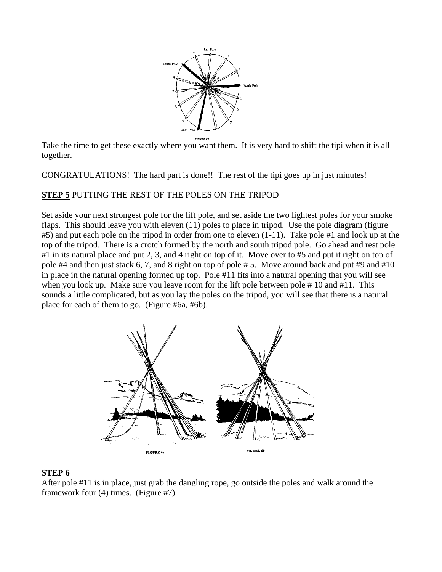

Take the time to get these exactly where you want them. It is very hard to shift the tipi when it is all together.

CONGRATULATIONS! The hard part is done!! The rest of the tipi goes up in just minutes!

## **STEP 5** PUTTING THE REST OF THE POLES ON THE TRIPOD

Set aside your next strongest pole for the lift pole, and set aside the two lightest poles for your smoke flaps. This should leave you with eleven (11) poles to place in tripod. Use the pole diagram (figure #5) and put each pole on the tripod in order from one to eleven (1-11). Take pole #1 and look up at the top of the tripod. There is a crotch formed by the north and south tripod pole. Go ahead and rest pole #1 in its natural place and put 2, 3, and 4 right on top of it. Move over to #5 and put it right on top of pole #4 and then just stack 6, 7, and 8 right on top of pole # 5. Move around back and put #9 and #10 in place in the natural opening formed up top. Pole #11 fits into a natural opening that you will see when you look up. Make sure you leave room for the lift pole between pole #10 and #11. This sounds a little complicated, but as you lay the poles on the tripod, you will see that there is a natural place for each of them to go. (Figure #6a, #6b).



## **STEP 6**

After pole #11 is in place, just grab the dangling rope, go outside the poles and walk around the framework four (4) times. (Figure #7)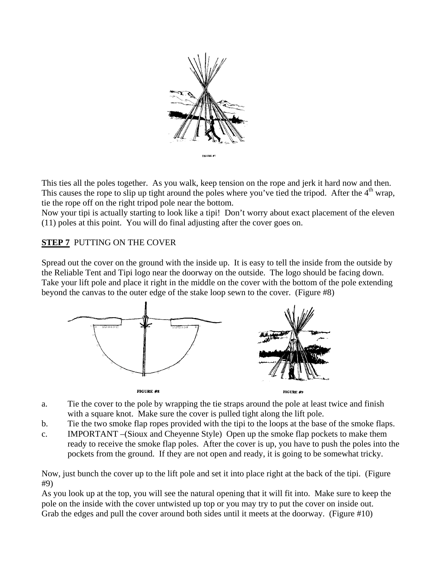

This ties all the poles together. As you walk, keep tension on the rope and jerk it hard now and then. This causes the rope to slip up tight around the poles where you've tied the tripod. After the  $4<sup>th</sup>$  wrap, tie the rope off on the right tripod pole near the bottom.

Now your tipi is actually starting to look like a tipi! Don't worry about exact placement of the eleven (11) poles at this point. You will do final adjusting after the cover goes on.

## **STEP 7** PUTTING ON THE COVER

Spread out the cover on the ground with the inside up. It is easy to tell the inside from the outside by the Reliable Tent and Tipi logo near the doorway on the outside. The logo should be facing down. Take your lift pole and place it right in the middle on the cover with the bottom of the pole extending beyond the canvas to the outer edge of the stake loop sewn to the cover. (Figure #8)



- a. Tie the cover to the pole by wrapping the tie straps around the pole at least twice and finish with a square knot. Make sure the cover is pulled tight along the lift pole.
- b. Tie the two smoke flap ropes provided with the tipi to the loops at the base of the smoke flaps.
- c. IMPORTANT –(Sioux and Cheyenne Style) Open up the smoke flap pockets to make them ready to receive the smoke flap poles. After the cover is up, you have to push the poles into the pockets from the ground. If they are not open and ready, it is going to be somewhat tricky.

Now, just bunch the cover up to the lift pole and set it into place right at the back of the tipi. (Figure #9)

As you look up at the top, you will see the natural opening that it will fit into. Make sure to keep the pole on the inside with the cover untwisted up top or you may try to put the cover on inside out. Grab the edges and pull the cover around both sides until it meets at the doorway. (Figure #10)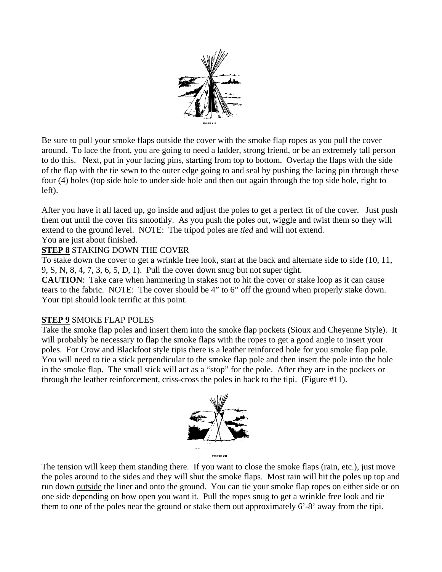

Be sure to pull your smoke flaps outside the cover with the smoke flap ropes as you pull the cover around. To lace the front, you are going to need a ladder, strong friend, or be an extremely tall person to do this. Next, put in your lacing pins, starting from top to bottom. Overlap the flaps with the side of the flap with the tie sewn to the outer edge going to and seal by pushing the lacing pin through these four (4) holes (top side hole to under side hole and then out again through the top side hole, right to left).

After you have it all laced up, go inside and adjust the poles to get a perfect fit of the cover. Just push them out until the cover fits smoothly. As you push the poles out, wiggle and twist them so they will extend to the ground level. NOTE: The tripod poles are *tied* and will not extend. You are just about finished.

## **STEP 8** STAKING DOWN THE COVER

To stake down the cover to get a wrinkle free look, start at the back and alternate side to side (10, 11, 9, S, N, 8, 4, 7, 3, 6, 5, D, 1). Pull the cover down snug but not super tight.

**CAUTION**: Take care when hammering in stakes not to hit the cover or stake loop as it can cause tears to the fabric. NOTE: The cover should be 4" to 6" off the ground when properly stake down. Your tipi should look terrific at this point.

## **STEP 9** SMOKE FLAP POLES

Take the smoke flap poles and insert them into the smoke flap pockets (Sioux and Cheyenne Style). It will probably be necessary to flap the smoke flaps with the ropes to get a good angle to insert your poles. For Crow and Blackfoot style tipis there is a leather reinforced hole for you smoke flap pole. You will need to tie a stick perpendicular to the smoke flap pole and then insert the pole into the hole in the smoke flap. The small stick will act as a "stop" for the pole. After they are in the pockets or through the leather reinforcement, criss-cross the poles in back to the tipi. (Figure #11).



The tension will keep them standing there. If you want to close the smoke flaps (rain, etc.), just move the poles around to the sides and they will shut the smoke flaps. Most rain will hit the poles up top and run down outside the liner and onto the ground. You can tie your smoke flap ropes on either side or on one side depending on how open you want it. Pull the ropes snug to get a wrinkle free look and tie them to one of the poles near the ground or stake them out approximately 6'-8' away from the tipi.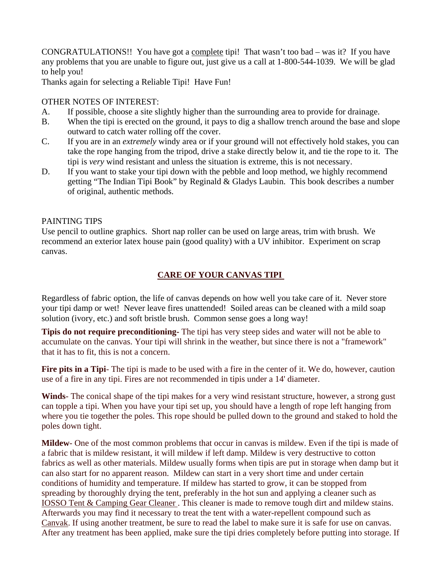CONGRATULATIONS!! You have got a complete tipi! That wasn't too bad – was it? If you have any problems that you are unable to figure out, just give us a call at 1-800-544-1039. We will be glad to help you!

Thanks again for selecting a Reliable Tipi! Have Fun!

## OTHER NOTES OF INTEREST:

- A. If possible, choose a site slightly higher than the surrounding area to provide for drainage.
- B. When the tipi is erected on the ground, it pays to dig a shallow trench around the base and slope outward to catch water rolling off the cover.
- C. If you are in an *extremely* windy area or if your ground will not effectively hold stakes, you can take the rope hanging from the tripod, drive a stake directly below it, and tie the rope to it. The tipi is *very* wind resistant and unless the situation is extreme, this is not necessary.
- D. If you want to stake your tipi down with the pebble and loop method, we highly recommend getting "The Indian Tipi Book" by Reginald & Gladys Laubin. This book describes a number of original, authentic methods.

## PAINTING TIPS

Use pencil to outline graphics. Short nap roller can be used on large areas, trim with brush. We recommend an exterior latex house pain (good quality) with a UV inhibitor. Experiment on scrap canvas.

# **CARE OF YOUR CANVAS TIPI**

Regardless of fabric option, the life of canvas depends on how well you take care of it. Never store your tipi damp or wet! Never leave fires unattended! Soiled areas can be cleaned with a mild soap solution (ivory, etc.) and soft bristle brush. Common sense goes a long way!

**Tipis do not require preconditioning-** The tipi has very steep sides and water will not be able to accumulate on the canvas. Your tipi will shrink in the weather, but since there is not a "framework" that it has to fit, this is not a concern.

**Fire pits in a Tipi**- The tipi is made to be used with a fire in the center of it. We do, however, caution use of a fire in any tipi. Fires are not recommended in tipis under a 14' diameter.

**Winds**- The conical shape of the tipi makes for a very wind resistant structure, however, a strong gust can topple a tipi. When you have your tipi set up, you should have a length of rope left hanging from where you tie together the poles. This rope should be pulled down to the ground and staked to hold the poles down tight.

**Mildew**- One of the most common problems that occur in canvas is mildew. Even if the tipi is made of a fabric that is mildew resistant, it will mildew if left damp. Mildew is very destructive to cotton fabrics as well as other materials. Mildew usually forms when tipis are put in storage when damp but it can also start for no apparent reason. Mildew can start in a very short time and under certain conditions of humidity and temperature. If mildew has started to grow, it can be stopped from spreading by thoroughly drying the tent, preferably in the hot sun and applying a cleaner such as [IOSSO Tent & Camping Gear Cleaner](http://www.reliabletent.com/eTrans/showdetl.cfm?&DID=29&Product_ID=172&CATID=20) . This cleaner is made to remove tough dirt and mildew stains. Afterwards you may find it necessary to treat the tent with a water-repellent compound such as [Canvak](http://www.reliabletent.com/eTrans/showdetl.cfm?&DID=29&Product_ID=171&CATID=20). If using another treatment, be sure to read the label to make sure it is safe for use on canvas. After any treatment has been applied, make sure the tipi dries completely before putting into storage. If